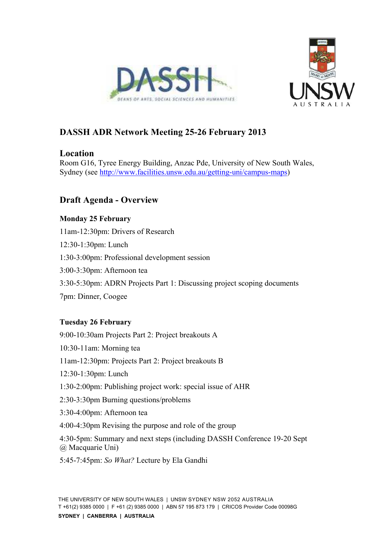



# **DASSH ADR Network Meeting 25-26 February 2013**

# **Location**

Room G16, Tyree Energy Building, Anzac Pde, University of New South Wales, Sydney (see http://www.facilities.unsw.edu.au/getting-uni/campus-maps)

# **Draft Agenda - Overview**

# **Monday 25 February**

11am-12:30pm: Drivers of Research

- 12:30-1:30pm: Lunch
- 1:30-3:00pm: Professional development session
- 3:00-3:30pm: Afternoon tea
- 3:30-5:30pm: ADRN Projects Part 1: Discussing project scoping documents
- 7pm: Dinner, Coogee

# **Tuesday 26 February**

9:00-10:30am Projects Part 2: Project breakouts A 10:30-11am: Morning tea 11am-12:30pm: Projects Part 2: Project breakouts B 12:30-1:30pm: Lunch 1:30-2:00pm: Publishing project work: special issue of AHR 2:30-3:30pm Burning questions/problems 3:30-4:00pm: Afternoon tea 4:00-4:30pm Revising the purpose and role of the group 4:30-5pm: Summary and next steps (including DASSH Conference 19-20 Sept @ Macquarie Uni) 5:45-7:45pm: *So What?* Lecture by Ela Gandhi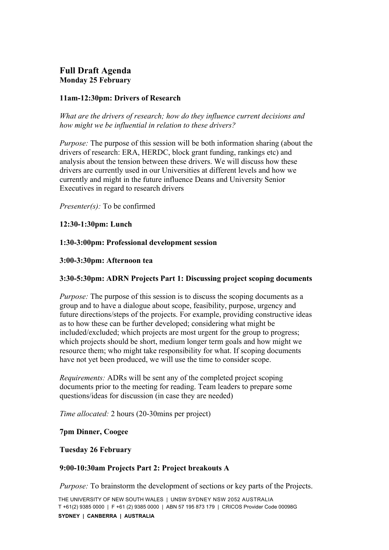# **Full Draft Agenda Monday 25 February**

# **11am-12:30pm: Drivers of Research**

*What are the drivers of research; how do they influence current decisions and how might we be influential in relation to these drivers?* 

*Purpose:* The purpose of this session will be both information sharing (about the drivers of research: ERA, HERDC, block grant funding, rankings etc) and analysis about the tension between these drivers. We will discuss how these drivers are currently used in our Universities at different levels and how we currently and might in the future influence Deans and University Senior Executives in regard to research drivers

*Presenter(s):* To be confirmed

# **12:30-1:30pm: Lunch**

## **1:30-3:00pm: Professional development session**

#### **3:00-3:30pm: Afternoon tea**

# **3:30-5:30pm: ADRN Projects Part 1: Discussing project scoping documents**

*Purpose:* The purpose of this session is to discuss the scoping documents as a group and to have a dialogue about scope, feasibility, purpose, urgency and future directions/steps of the projects. For example, providing constructive ideas as to how these can be further developed; considering what might be included/excluded; which projects are most urgent for the group to progress; which projects should be short, medium longer term goals and how might we resource them; who might take responsibility for what. If scoping documents have not yet been produced, we will use the time to consider scope.

*Requirements:* ADRs will be sent any of the completed project scoping documents prior to the meeting for reading. Team leaders to prepare some questions/ideas for discussion (in case they are needed)

*Time allocated:* 2 hours (20-30mins per project)

#### **7pm Dinner, Coogee**

#### **Tuesday 26 February**

#### **9:00-10:30am Projects Part 2: Project breakouts A**

*Purpose:* To brainstorm the development of sections or key parts of the Projects.

THE UNIVERSITY OF NEW SOUTH WALES | UNSW SYDNEY NSW 2052 AUSTRALIA T +61(2) 9385 0000 | F +61 (2) 9385 0000 | ABN 57 195 873 179 | CRICOS Provider Code 00098G **SYDNEY | CANBERRA | AUSTRALIA**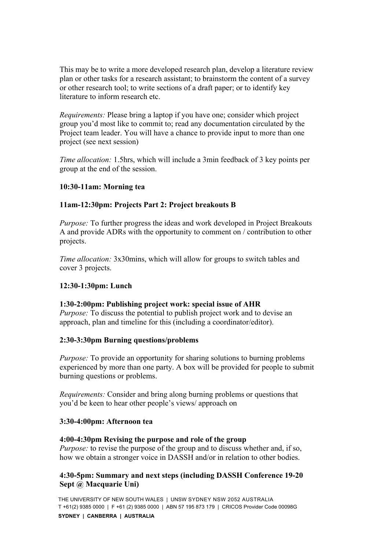This may be to write a more developed research plan, develop a literature review plan or other tasks for a research assistant; to brainstorm the content of a survey or other research tool; to write sections of a draft paper; or to identify key literature to inform research etc.

*Requirements:* Please bring a laptop if you have one; consider which project group you'd most like to commit to; read any documentation circulated by the Project team leader. You will have a chance to provide input to more than one project (see next session)

*Time allocation:* 1.5hrs, which will include a 3min feedback of 3 key points per group at the end of the session.

## **10:30-11am: Morning tea**

## **11am-12:30pm: Projects Part 2: Project breakouts B**

*Purpose:* To further progress the ideas and work developed in Project Breakouts A and provide ADRs with the opportunity to comment on / contribution to other projects.

*Time allocation:* 3x30mins, which will allow for groups to switch tables and cover 3 projects.

#### **12:30-1:30pm: Lunch**

#### **1:30-2:00pm: Publishing project work: special issue of AHR**

*Purpose:* To discuss the potential to publish project work and to devise an approach, plan and timeline for this (including a coordinator/editor).

#### **2:30-3:30pm Burning questions/problems**

*Purpose:* To provide an opportunity for sharing solutions to burning problems experienced by more than one party. A box will be provided for people to submit burning questions or problems.

*Requirements:* Consider and bring along burning problems or questions that you'd be keen to hear other people's views/ approach on

#### **3:30-4:00pm: Afternoon tea**

#### **4:00-4:30pm Revising the purpose and role of the group**

*Purpose:* to revise the purpose of the group and to discuss whether and, if so, how we obtain a stronger voice in DASSH and/or in relation to other bodies.

## **4:30-5pm: Summary and next steps (including DASSH Conference 19-20 Sept @ Macquarie Uni)**

THE UNIVERSITY OF NEW SOUTH WALES | UNSW SYDNEY NSW 2052 AUSTRALIA T +61(2) 9385 0000 | F +61 (2) 9385 0000 | ABN 57 195 873 179 | CRICOS Provider Code 00098G **SYDNEY | CANBERRA | AUSTRALIA**